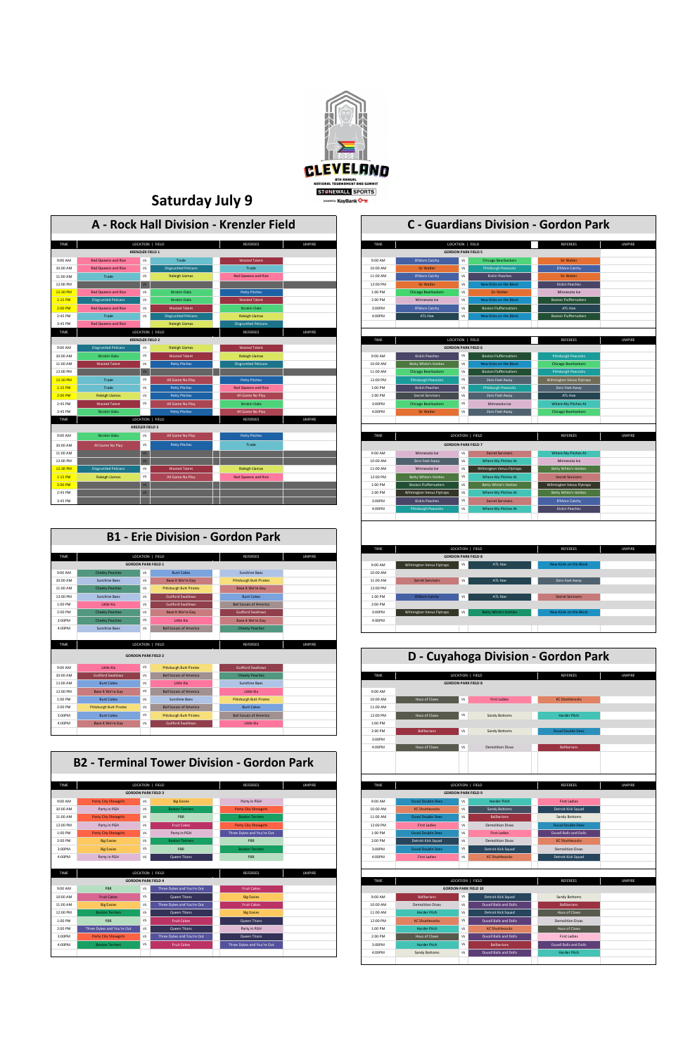

### **Saturday July 9**

## 2:00 PM Ballbarians Ballbarians VS Sandy Bottoms 3:00PM 4:00PM Haus of Claws VS Demolition Divas **GORDON PARK FIELD 8 D - Cuyahoga Division - Gordon Park** LOCATION | FIELD

|             |                             |                         |                             | A - Rock Hall Division - Krenzler Field |               | <b>C</b> - Guardians Division - Gordon Park |                              |                            |                              |                              |               |
|-------------|-----------------------------|-------------------------|-----------------------------|-----------------------------------------|---------------|---------------------------------------------|------------------------------|----------------------------|------------------------------|------------------------------|---------------|
| <b>TIME</b> |                             | LOCATION   FIELD        |                             | <b>REFEREES</b>                         | <b>UMPIRE</b> | <b>TIME</b>                                 |                              | LOCATION   FIELD           |                              | <b>REFEREES</b>              | <b>UMPIRE</b> |
|             |                             | <b>KRENZLER FIELD 1</b> |                             |                                         |               |                                             | <b>GORDON PARK FIELD 5</b>   |                            |                              |                              |               |
| 9:00 AM     | <b>Red Qweens and Rice</b>  | <b>VS</b>               | Trade                       | <b>Wasted Talent</b>                    |               | 9:00 AM                                     | <b>B'More Catchy</b>         | <b>VS</b>                  | <b>Chicago Bearbackers</b>   | Sir Walter                   |               |
| 10:00 AM    | <b>Red Oweens and Rice</b>  | VS                      | <b>Disgruntled Pelicans</b> | Trade                                   |               | 10:00 AM                                    | <b>Sir Walter</b>            | <b>VS</b>                  | <b>Pittsburgh Peacocks</b>   | <b>B'More Catchy</b>         |               |
| 11:00 AM    | Trade                       | <b>VS</b>               | <b>Raleigh Llamas</b>       | <b>Red Qweens and Rice</b>              |               | 11:00 AM                                    | <b>B'More Catchy</b>         | <b>VS</b>                  | <b>Kickin Peaches</b>        | <b>Sir Walter</b>            |               |
| 12:00 PM    |                             | VS                      |                             |                                         |               | 12:00 PM                                    | <b>Sir Walter</b>            | <b>VS</b>                  | New Kicks on the Block       | <b>Kickin Peaches</b>        |               |
| 12:30 PM    | <b>Red Qweens and Rice</b>  | <b>VS</b>               | <b>Strokin Oaks</b>         | <b>Petty Pitches</b>                    |               | 1:00 PM                                     | <b>Chicago Bearbackers</b>   | <b>VS</b>                  | <b>Sir Walter</b>            | Minnesota Ice                |               |
| 1:15 PM     | <b>Disgruntled Pelicans</b> | VS                      | <b>Strokin Oaks</b>         | <b>Wasted Talent</b>                    |               | 2:00 PM                                     | Minnesota Ice                | <b>VS</b>                  | New Kicks on the Block       | <b>Boston Fluffernutters</b> |               |
| 2:00 PM     | <b>Red Qweens and Rice</b>  | VS                      | <b>Wasted Talent</b>        | <b>Strokin Oaks</b>                     |               | 3:00PM                                      | <b>B'More Catchy</b>         | <b>VS</b>                  | <b>Boston Fluffernutters</b> | ATL Hoe                      |               |
| 2:45 PM     | Trade                       | <b>VS</b>               | <b>Disgruntled Pelicans</b> | <b>Raleigh Llamas</b>                   |               | 4:00PM                                      | ATL Hoe                      | <b>VS</b>                  | New Kicks on the Block       | <b>Boston Fluffernutters</b> |               |
| 3:45 PM     | <b>Red Qweens and Rice</b>  |                         | <b>Raleigh Llamas</b>       | <b>Disgruntled Pelicans</b>             |               |                                             |                              |                            |                              |                              |               |
| TIME        |                             | LOCATION   FIELD        |                             | <b>REFEREES</b>                         | <b>UMPIRE</b> |                                             |                              |                            |                              |                              |               |
|             |                             | <b>KRENZLER FIELD 2</b> |                             |                                         |               | TIME                                        |                              | LOCATION   FIELD           |                              | <b>REFEREES</b>              | <b>UMPIRE</b> |
| 9:00 AM     | <b>Disgruntled Pelicans</b> | <b>VS</b>               | <b>Raleigh Llamas</b>       | <b>Wasted Talent</b>                    |               |                                             |                              | <b>GORDON PARK FIELD 6</b> |                              |                              |               |
| 10:00 AM    | <b>Strokin Oaks</b>         | VS                      | <b>Wasted Talent</b>        | <b>Raleigh Llamas</b>                   |               | 9:00 AM                                     | <b>Kickin Peaches</b>        | <b>VS</b>                  | <b>Boston Fluffernutters</b> | <b>Pittsburgh Peacocks</b>   |               |
| 11:00 AM    | <b>Wasted Talent</b>        | <b>VS</b>               | <b>Petty Pitches</b>        | <b>Disgruntled Pelicans</b>             |               | 10:00 AM                                    | <b>Betty White's Hotties</b> | <b>VS</b>                  | New Kicks on the Block       | <b>Chicago Bearbackers</b>   |               |
| 12:00 PM    |                             | VS                      |                             |                                         |               | 11:00 AM                                    | <b>Chicago Bearbackers</b>   | <b>VS</b>                  | <b>Boston Fluffernutters</b> | <b>Pittsburgh Peacocks</b>   |               |
| 12:30 PM    | Trade                       | VS                      | All Game No Play            | <b>Petty Pitches</b>                    |               | 12:00 PM                                    | <b>Pittsburgh Peacocks</b>   | <b>VS</b>                  | Zero Feet Away               | Wilmington Venus Flytraps    |               |
| 1:15 PM     | Trade                       | VS                      | <b>Petty Pitches</b>        | <b>Red Qweens and Rice</b>              |               | 1:00 PM                                     | <b>Kickin Peaches</b>        | VS                         | <b>Pittsburgh Peacocks</b>   | Zero Feet Away               |               |
| 2:00 PM     | <b>Raleigh Llamas</b>       | <b>VS</b>               | <b>Petty Pitches</b>        | All Game No Play                        |               | 2:00 PM                                     | <b>Secret Servicers</b>      | <b>VS</b>                  | Zero Feet Away               | ATL Hoe                      |               |
| 2:45 PM     | <b>Wasted Talent</b>        | <b>VS</b>               | All Game No Play            | <b>Strokin Oaks</b>                     |               | 3:00PM                                      | <b>Chicago Bearbackers</b>   | VS                         | Minnesota Ice                | <b>Where My Pitches At</b>   |               |
| 3:45 PM     | <b>Strokin Oaks</b>         |                         | <b>Petty Pitches</b>        | All Game No Play                        |               | 4:00PM                                      | <b>Sir Walter</b>            | <b>VS</b>                  | Zero Feet Away               | <b>Chicago Bearbackers</b>   |               |
| <b>TIME</b> |                             | LOCATION   FIELD        |                             | <b>REFEREES</b>                         | <b>UMPIRE</b> |                                             |                              |                            |                              |                              |               |
|             |                             | <b>KREZLER FIELD 3</b>  |                             |                                         |               |                                             |                              |                            |                              |                              |               |
| 9:00 AM     | <b>Strokin Oaks</b>         | VS                      | All Game No Play            | <b>Petty Pitches</b>                    |               | TIME                                        |                              | LOCATION   FIELD           |                              | <b>REFEREES</b>              | <b>UMPIRE</b> |
| 10:00 AM    | All Game No Play            | <b>VS</b>               | <b>Petty Pitches</b>        | Trade                                   |               |                                             |                              | <b>GORDON PARK FIELD 7</b> |                              |                              |               |
| 11:00 AM    |                             | VS                      |                             |                                         |               | 9:00 AM                                     | Minnesota Ice                | VS                         | <b>Secret Servicers</b>      | Where My Pitches At          |               |
| 12:00 PM    |                             | V <sub>S</sub>          |                             |                                         |               | 10:00 AM                                    | Zero Feet Away               | VS                         | Where My Pitches At          | Minnesota Ice                |               |
| 12:30 PM    | <b>Disgruntled Pelicans</b> | <b>VS</b>               | <b>Wasted Talent</b>        | <b>Raleigh Llamas</b>                   |               | 11:00 AM                                    | Minnesota Ice                | VS                         | Wilmington Venus Flytraps    | <b>Betty White's Hotties</b> |               |
| 1:15 PM     | <b>Raleigh Llamas</b>       | <b>VS</b>               | All Game No Play            | <b>Red Qweens and Rice</b>              |               | 12:00 PM                                    | <b>Betty White's Hotties</b> | VS                         | Where My Pitches At          | <b>Secret Servicers</b>      |               |
| 2:00 PM     |                             | V <sub>S</sub>          |                             |                                         |               | 1:00 PM                                     | <b>Boston Fluffernutters</b> | <b>VS</b>                  | <b>Betty White's Hotties</b> | Wilmington Venus Flytraps    |               |
| 2:45 PM     |                             | V <sub>S</sub>          |                             |                                         |               | 2:00 PM                                     | Wilmington Venus Flytraps    | <b>VS</b>                  | Where My Pitches At          | <b>Betty White's Hotties</b> |               |
| 3:45 PM     |                             |                         |                             |                                         |               | 3:00PM                                      | Kickin Peaches               | <b>VS</b>                  | <b>Secret Servicers</b>      | <b>B'More Catchy</b>         |               |

|                               |                                                |                            |                                                            | A - Rock Hall Division - Krenzler Field              |                       |                              |                                                | <b>C</b> - Guardians Division - Gordon Park |                              |
|-------------------------------|------------------------------------------------|----------------------------|------------------------------------------------------------|------------------------------------------------------|-----------------------|------------------------------|------------------------------------------------|---------------------------------------------|------------------------------|
| <b>TIME</b>                   |                                                | LOCATION   FIELD           |                                                            | <b>REFEREES</b>                                      | <b>UMPIRE</b><br>TIME |                              | LOCATION   FIELD                               |                                             | REFEREES                     |
|                               |                                                | <b>KRENZLER FIELD 1</b>    |                                                            |                                                      |                       |                              | <b>GORDON PARK FIELD 5</b>                     |                                             |                              |
| MA 00:6                       | <b>Red Qweens and Rice</b>                     | V <sub>S</sub>             | Trade                                                      | <b>Wasted Talent</b>                                 | 9:00 AM               | <b>B'More Catchy</b>         | <b>VS</b>                                      | <b>Chicago Bearbackers</b>                  | <b>Sir Walter</b>            |
| 0:00 AM                       | <b>Red Oweens and Rice</b>                     | <b>VS</b>                  | <b>Disgruntled Pelicans</b>                                | Trade                                                | 10:00 AM              | <b>Sir Walter</b>            | VS.                                            | <b>Pittsburgh Peacocks</b>                  | <b>B'More Catchy</b>         |
| 1:00 AM                       | Trade                                          | <b>VS</b>                  | <b>Raleigh Llamas</b>                                      | <b>Red Oweens and Rice</b>                           | 11:00 AM              | <b>B'More Catchy</b>         | VS                                             | <b>Kickin Peaches</b>                       | <b>Sir Walter</b>            |
| 2:00 PM                       |                                                | V <sub>S</sub>             |                                                            |                                                      | 12:00 PM              | Sir Walter                   | VS                                             | New Kicks on the Block                      | <b>Kickin Peaches</b>        |
| 2:30 PM                       | <b>Red Oweens and Rice</b>                     | <b>VS</b>                  | <b>Strokin Oaks</b>                                        | <b>Petty Pitches</b>                                 | $1:00$ PM             | <b>Chicago Bearbackers</b>   | <b>VS</b>                                      | <b>Sir Walter</b>                           | Minnesota Ice                |
| 1:15 PM                       | <b>Disgruntled Pelicans</b>                    | <b>VS</b>                  | <b>Strokin Oaks</b>                                        | <b>Wasted Talent</b>                                 | 2:00 PM               | Minnesota Ice                | VS                                             | New Kicks on the Block                      | <b>Boston Fluffernutters</b> |
| 2:00 PM                       | <b>Red Oweens and Rice</b>                     | <b>VS</b>                  | <b>Wasted Talent</b>                                       | <b>Strokin Oaks</b>                                  | 3:00PM                | <b>B'More Catchy</b>         | <b>VS</b>                                      | <b>Boston Fluffernutters</b>                | ATL Hoe                      |
| 2:45 PM                       | Trade                                          | VS.                        | <b>Disgruntled Pelicans</b>                                | <b>Raleigh Llamas</b>                                | 4:00PM                | ATL Hoe                      | VS                                             | New Kicks on the Block                      | <b>Boston Fluffernutters</b> |
| 3:45 PM                       | <b>Red Qweens and Rice</b>                     |                            | <b>Raleigh Llamas</b>                                      | <b>Disgruntled Pelicans</b>                          |                       |                              |                                                |                                             |                              |
|                               |                                                | LOCATION   FIELD           |                                                            | <b>REFEREES</b>                                      | <b>UMPIRE</b>         |                              |                                                |                                             |                              |
|                               |                                                | <b>KRENZLER FIELD 2</b>    |                                                            |                                                      | TIME                  |                              | LOCATION   FIELD                               |                                             | REFEREES                     |
| MA 00:6                       | <b>Disgruntled Pelicans</b>                    | VS                         | <b>Raleigh Llamas</b>                                      | <b>Wasted Talent</b>                                 |                       |                              | <b>GORDON PARK FIELD 6</b>                     |                                             |                              |
| 0:00 AM                       | <b>Strokin Oaks</b>                            | VS                         | <b>Wasted Talent</b>                                       | <b>Raleigh Llamas</b>                                | 9:00 AM               | <b>Kickin Peaches</b>        | VS                                             | <b>Boston Fluffernutters</b>                | <b>Pittsburgh Peacocks</b>   |
| 1:00 AM                       | <b>Wasted Talent</b>                           | VS                         | <b>Petty Pitches</b>                                       | <b>Disgruntled Pelicans</b>                          | 10:00 AM              | Betty White's Hotties        | <b>VS</b>                                      | New Kicks on the Block                      | Chicago Bearbackers          |
| 2:00 PM                       |                                                | VS                         |                                                            |                                                      | 11:00 AM              | <b>Chicago Bearbackers</b>   | VS                                             | <b>Boston Fluffernutters</b>                | <b>Pittsburgh Peacocks</b>   |
| 2:30 PM                       | Trade                                          | <b>VS</b>                  | All Game No Play                                           | <b>Petty Pitches</b>                                 | 12:00 PM              | <b>Pittsburgh Peacocks</b>   | VS                                             | Zero Feet Away                              | Wilmington Venus Flytraps    |
| $1:15$ PM                     | Trade                                          | <b>VS</b>                  | <b>Petty Pitches</b>                                       | <b>Red Qweens and Rice</b>                           | 1:00 PM               | <b>Kickin Peaches</b>        | <b>VS</b>                                      | <b>Pittsburgh Peacocks</b>                  | Zero Feet Away               |
|                               | <b>Raleigh Llamas</b>                          | VS                         | <b>Petty Pitches</b>                                       | All Game No Play                                     | 2:00 PM               | <b>Secret Servicers</b>      | VS                                             | Zero Feet Away                              | ATL Hoe                      |
|                               | <b>Wasted Talent</b>                           | <b>VS</b>                  | All Game No Play                                           | <b>Strokin Oaks</b>                                  | 3:00PM                | <b>Chicago Bearbackers</b>   | <b>VS</b>                                      | Minnesota Ice                               | <b>Where My Pitches At</b>   |
|                               | <b>Strokin Oaks</b>                            |                            | <b>Petty Pitches</b>                                       | All Game No Play                                     | 4:00PM                | <b>Sir Walter</b>            | VS                                             | Zero Feet Away                              | <b>Chicago Bearbackers</b>   |
|                               |                                                | LOCATION   FIELD           |                                                            | <b>REFEREES</b>                                      | <b>UMPIRE</b>         |                              |                                                |                                             |                              |
|                               |                                                | <b>KREZLER FIELD 3</b>     |                                                            |                                                      |                       |                              |                                                |                                             |                              |
| MA 00:6                       | <b>Strokin Oaks</b>                            | VS                         | All Game No Play                                           | <b>Petty Pitches</b>                                 | TIME                  |                              | LOCATION   FIELD                               |                                             | <b>REFEREES</b>              |
| MA 00:0.                      | All Game No Play                               | vs                         | <b>Petty Pitches</b>                                       | Trade                                                |                       |                              | <b>GORDON PARK FIELD 7</b>                     |                                             |                              |
|                               |                                                | <b>VS</b>                  |                                                            |                                                      | 9:00 AM               | Minnesota Ice                | VS                                             | <b>Secret Servicers</b>                     | <b>Where My Pitches At</b>   |
|                               |                                                | <b>VS</b>                  |                                                            |                                                      | 10:00 AM              | Zero Feet Away               | <b>VS</b>                                      | <b>Where My Pitches At</b>                  | Minnesota Ice                |
|                               | <b>Disgruntled Pelicans</b>                    | VS                         | <b>Wasted Talent</b>                                       | <b>Raleigh Llamas</b>                                | 11:00 AM              | Minnesota Ice                | VS                                             | Wilmington Venus Flytraps                   | <b>Betty White's Hotties</b> |
|                               | <b>Raleigh Llamas</b>                          | <b>VS</b>                  | All Game No Play                                           | <b>Red Oweens and Rice</b>                           | 12:00 PM              | <b>Betty White's Hotties</b> | VS.                                            | Where My Pitches At                         | <b>Secret Servicers</b>      |
|                               |                                                | <b>V<sub>S</sub></b>       |                                                            |                                                      | 1:00 PM               | <b>Boston Fluffernutters</b> | VS                                             | <b>Betty White's Hotties</b>                | Wilmington Venus Flytraps    |
|                               |                                                | <b>VS</b>                  |                                                            |                                                      | 2:00 PM               | Wilmington Venus Flytraps    | VS                                             | Where My Pitches At                         | <b>Betty White's Hotties</b> |
|                               |                                                |                            |                                                            |                                                      | 3:00PM                | <b>Kickin Peaches</b>        | VS                                             | <b>Secret Servicers</b>                     | <b>B'More Catchy</b>         |
|                               |                                                |                            |                                                            |                                                      | 4:00PM                | <b>Pittsburgh Peacocks</b>   | VS                                             | Where My Pitches At                         | Kickin Peaches               |
|                               |                                                |                            |                                                            |                                                      |                       |                              |                                                |                                             |                              |
|                               |                                                |                            |                                                            |                                                      |                       |                              |                                                |                                             |                              |
|                               |                                                |                            |                                                            |                                                      |                       |                              |                                                |                                             |                              |
|                               |                                                |                            |                                                            | <b>B1 - Erie Division - Gordon Park</b>              |                       |                              |                                                |                                             |                              |
|                               |                                                |                            |                                                            |                                                      |                       |                              |                                                |                                             |                              |
|                               |                                                | LOCATION   FIELD           |                                                            | <b>REFEREES</b>                                      | TIME<br><b>UMPIRE</b> |                              | LOCATION   FIELD<br><b>GORDON PARK FIELD 8</b> |                                             | REFEREES                     |
|                               |                                                | <b>GORDON PARK FIELD 1</b> |                                                            |                                                      |                       |                              | <b>VS</b>                                      |                                             |                              |
|                               |                                                |                            | <b>Bunt Cakes</b>                                          |                                                      | 9:00 AM<br>10:00 AM   | Wilmington Venus Flytraps    |                                                | ATL Hoe                                     | New Kicks on the Block       |
|                               | <b>Cheeky Peaches</b>                          | VS                         | Base It We're Gay                                          | <b>Sunshine Baes</b>                                 |                       | <b>Secret Servicers</b>      |                                                |                                             |                              |
| 9:00 AM<br>0:00 AM<br>1:00 AM | Sunshine Baes                                  | VS<br><b>VS</b>            |                                                            | <b>Pittsburgh Butt Pirates</b>                       | 11:00 AM              |                              | VS                                             | ATL Hoe                                     | Zero Feet Away               |
| 2:00 PM                       | <b>Cheeky Peaches</b><br><b>Sunshine Baes</b>  | <b>VS</b>                  | <b>Pittsburgh Butt Pirates</b><br><b>Guilford Swallows</b> | <b>Base It We're Gay</b><br><b>Bunt Cakes</b>        | 12:00 PM<br>1:00 PM   | <b>B'More Catchy</b>         | <b>VS</b>                                      | ATL Hoe                                     | <b>Secret Servicers</b>      |
|                               | <b>Little Kix</b>                              |                            |                                                            |                                                      |                       |                              |                                                |                                             |                              |
|                               |                                                | VS<br>V <sub>S</sub>       | <b>Guilford Swallows</b>                                   | <b>Ball Scouts of America</b>                        | 2:00 PM<br>3:00PM     |                              | <b>VS</b>                                      |                                             |                              |
|                               | <b>Cheeky Peaches</b><br><b>Cheeky Peaches</b> | VS                         | Base It We're Gay<br><b>Little Kix</b>                     | <b>Guilford Swallows</b><br><b>Base It We're Gay</b> | 4:00PM                | Wilmington Venus Flytraps    |                                                | <b>Betty White's Hotties</b>                | New Kicks on the Block       |



| TIME                       |                             |           | LOCATION   FIELD           | <b>REFEREES</b>             | <b>UMPIRE</b> |  |
|----------------------------|-----------------------------|-----------|----------------------------|-----------------------------|---------------|--|
| <b>GORDON PARK FIELD 3</b> |                             |           |                            |                             |               |  |
| 00 AM                      | <b>Party City Showgirls</b> | <b>VS</b> | <b>Big Easies</b>          | Party in PGH                |               |  |
| :00 AM                     | Party in PGH                | <b>VS</b> | <b>Boston Terriers</b>     | <b>Party City Showgirls</b> |               |  |
| :00 AM                     | <b>Party City Showgirls</b> | <b>VS</b> | PBR                        | <b>Boston Terriers</b>      |               |  |
| :00 PM                     | Party in PGH                | <b>VS</b> | <b>Fruit Cakes</b>         | <b>Party City Showgirls</b> |               |  |
| 00 PM                      | <b>Party City Showgirls</b> | <b>VS</b> | Party in PGH               | Three Dykes and You're Out  |               |  |
| 00 PM                      | <b>Big Easies</b>           | <b>VS</b> | <b>Boston Terriers</b>     | PBR                         |               |  |
| :00PM                      | <b>Big Easies</b>           | <b>VS</b> | PBR                        | <b>Boston Terriers</b>      |               |  |
| :00PM                      | Party in PGH                | VS        | Queen Titans               | PBR                         |               |  |
|                            |                             |           |                            |                             |               |  |
| TIME                       |                             |           | LOCATION   FIELD           | <b>REFEREES</b>             | <b>UMPIRE</b> |  |
|                            |                             |           | <b>GORDON PARK FIELD 4</b> |                             |               |  |
| 00 AM                      | PBR                         | <b>VS</b> | Three Dykes and You're Out | <b>Fruit Cakes</b>          |               |  |
| :00 AM                     | <b>Fruit Cakes</b>          | VS        | Queen Titans               | <b>Big Easies</b>           |               |  |
| :00 AM                     | <b>Big Easies</b>           | <b>VS</b> | Three Dykes and You're Out | <b>Fruit Cakes</b>          |               |  |
| :00 PM                     | <b>Boston Terriers</b>      | VS        | Queen Titans               | <b>Big Easies</b>           |               |  |
| 00 PM                      | PBR                         | VS        | <b>Fruit Cakes</b>         | <b>Queen Titans</b>         |               |  |
| 00 PM                      | Three Dykes and You're Out  | VS.       | <b>Queen Titans</b>        | Party in PGH                |               |  |
| :00PM                      | <b>Party City Showgirls</b> | <b>VS</b> | Three Dykes and You're Out | Queen Titans                |               |  |
| :00PM                      | <b>Boston Terriers</b>      | VS        | <b>Fruit Cakes</b>         | Three Dykes and You're Out  |               |  |
|                            |                             |           |                            |                             |               |  |
|                            |                             |           |                            |                             |               |  |

| TIME     |                                                               |                | LOCATION   FIELD           | <b>REFEREES</b>             | <b>UMPIRE</b> |
|----------|---------------------------------------------------------------|----------------|----------------------------|-----------------------------|---------------|
|          | <b>GORDON PARK FIELD 3</b>                                    |                |                            |                             |               |
| 9:00 AM  | <b>VS</b><br><b>Party City Showgirls</b><br><b>Big Easies</b> |                | Party in PGH               |                             |               |
| 10:00 AM | Party in PGH                                                  | V <sub>S</sub> | <b>Boston Terriers</b>     | <b>Party City Showgirls</b> |               |
| 11:00 AM | <b>Party City Showgirls</b>                                   | <b>VS</b>      | PBR                        | <b>Boston Terriers</b>      |               |
| 12:00 PM | Party in PGH                                                  | V <sub>S</sub> | <b>Fruit Cakes</b>         | <b>Party City Showgirls</b> |               |
| 1:00 PM  | VS<br><b>Party City Showgirls</b>                             |                | Party in PGH               | Three Dykes and You're Out  |               |
| 2:00 PM  | <b>Big Easies</b>                                             |                | <b>Boston Terriers</b>     | PBR                         |               |
| 3:00PM   | <b>Big Easies</b>                                             |                | PBR                        | <b>Boston Terriers</b>      |               |
| 4:00PM   | Party in PGH                                                  | VS             | <b>Queen Titans</b>        | PBR                         |               |
|          |                                                               |                |                            |                             |               |
| TIME     |                                                               |                | LOCATION   FIELD           | <b>REFEREES</b>             | <b>UMPIRE</b> |
|          |                                                               |                | <b>GORDON PARK FIELD 4</b> |                             |               |
| 9:00 AM  | PBR                                                           | <b>VS</b>      | Three Dykes and You're Out | <b>Fruit Cakes</b>          |               |
| 10:00 AM | <b>Fruit Cakes</b>                                            | VS             | Queen Titans               | <b>Big Easies</b>           |               |
| 11:00 AM | <b>Big Easies</b>                                             | <b>VS</b>      | Three Dykes and You're Out | <b>Fruit Cakes</b>          |               |
| 12:00 PM | <b>Boston Terriers</b>                                        | VS             | Queen Titans               | <b>Big Easies</b>           |               |
| 1:00 PM  | PBR                                                           | <b>VS</b>      | <b>Fruit Cakes</b>         | Queen Titans                |               |
| 2:00 PM  | Three Dykes and You're Out                                    | VS             | Queen Titans               | Party in PGH                |               |
| 3:00PM   | <b>Party City Showgirls</b>                                   | <b>VS</b>      | Three Dykes and You're Out | Queen Titans                |               |
| 4:00PM   | <b>Boston Terriers</b>                                        | VS             | <b>Fruit Cakes</b>         | Three Dykes and You're Out  |               |
|          |                                                               |                |                            |                             |               |

#### **B2 - Terminal Tower Division - Gordon Park**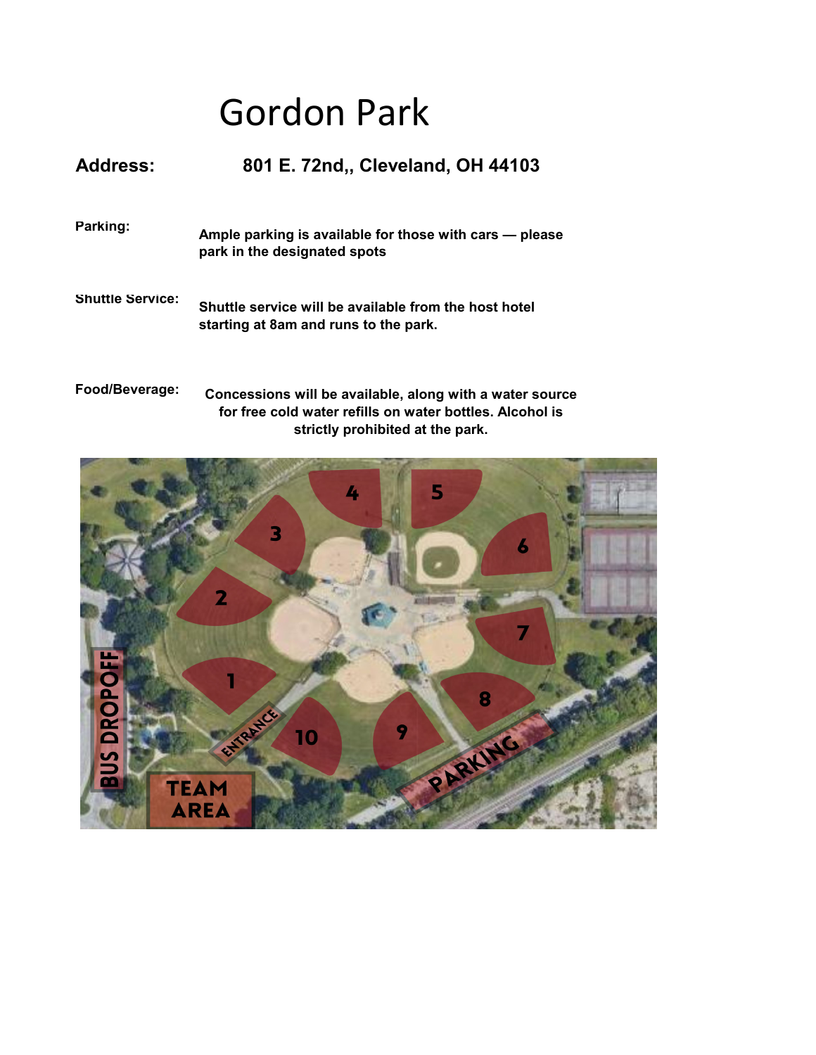## Gordon Park

| <b>Address:</b>         | 801 E. 72nd., Cleveland, OH 44103                                                              |
|-------------------------|------------------------------------------------------------------------------------------------|
| Parking:                | Ample parking is available for those with cars – please<br>park in the designated spots        |
| <b>Shuttle Service:</b> | Shuttle service will be available from the host hotel<br>starting at 8am and runs to the park. |

**Food/Beverage: Concessions will be available, along with a water source for free cold water refills on water bottles. Alcohol is strictly prohibited at the park.**